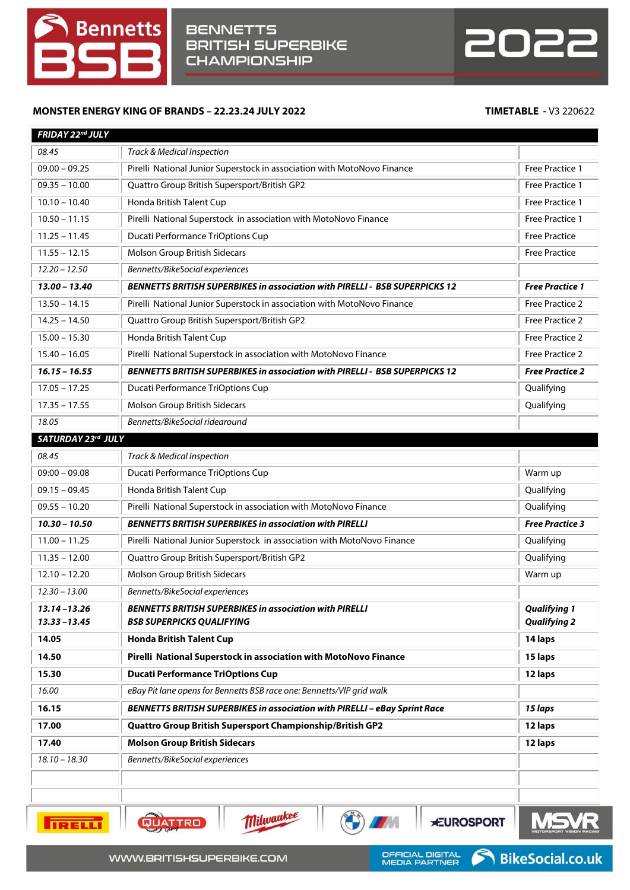



## **MONSTER ENERGY KING OF BRANDS – 22.23.24 JULY 2022 TIMETABLE -** V3 220622

| FRIDAY 22nd JULY                   |                                                                                                    |                                            |
|------------------------------------|----------------------------------------------------------------------------------------------------|--------------------------------------------|
| 08.45                              | Track & Medical Inspection                                                                         |                                            |
| $09.00 - 09.25$                    | Pirelli National Junior Superstock in association with MotoNovo Finance                            | Free Practice 1                            |
| $09.35 - 10.00$                    | Quattro Group British Supersport/British GP2                                                       | Free Practice 1                            |
| $10.10 - 10.40$                    | Honda British Talent Cup                                                                           | Free Practice 1                            |
| $10.50 - 11.15$                    | Pirelli National Superstock in association with MotoNovo Finance                                   | Free Practice 1                            |
| $11.25 - 11.45$                    | Ducati Performance TriOptions Cup                                                                  | <b>Free Practice</b>                       |
| $11.55 - 12.15$                    | Molson Group British Sidecars                                                                      | <b>Free Practice</b>                       |
| $12.20 - 12.50$                    | Bennetts/BikeSocial experiences                                                                    |                                            |
| $13.00 - 13.40$                    | <b>BENNETTS BRITISH SUPERBIKES in association with PIRELLI - BSB SUPERPICKS 12</b>                 | <b>Free Practice 1</b>                     |
| $13.50 - 14.15$                    | Pirelli National Junior Superstock in association with MotoNovo Finance                            | Free Practice 2                            |
| $14.25 - 14.50$                    | Quattro Group British Supersport/British GP2                                                       | Free Practice 2                            |
| $15.00 - 15.30$                    | Honda British Talent Cup                                                                           | Free Practice 2                            |
| $15.40 - 16.05$                    | Pirelli National Superstock in association with MotoNovo Finance                                   | Free Practice 2                            |
| $16.15 - 16.55$                    | <b>BENNETTS BRITISH SUPERBIKES in association with PIRELLI - BSB SUPERPICKS 12</b>                 | <b>Free Practice 2</b>                     |
| $17.05 - 17.25$                    | Ducati Performance TriOptions Cup                                                                  | Qualifying                                 |
| $17.35 - 17.55$                    | Molson Group British Sidecars                                                                      | Qualifying                                 |
| 18.05                              | Bennetts/BikeSocial ridearound                                                                     |                                            |
| SATURDAY 23rd JULY                 |                                                                                                    |                                            |
| 08.45                              | Track & Medical Inspection                                                                         |                                            |
| $09:00 - 09.08$                    | Ducati Performance TriOptions Cup                                                                  | Warm up                                    |
| $09.15 - 09.45$                    | Honda British Talent Cup                                                                           | Qualifying                                 |
| $09.55 - 10.20$                    | Pirelli National Superstock in association with MotoNovo Finance                                   | Qualifying                                 |
| $10.30 - 10.50$                    | <b>BENNETTS BRITISH SUPERBIKES in association with PIRELLI</b>                                     | <b>Free Practice 3</b>                     |
| $11.00 - 11.25$                    | Pirelli National Junior Superstock in association with MotoNovo Finance                            | Qualifying                                 |
| $11.35 - 12.00$                    | Quattro Group British Supersport/British GP2                                                       | Qualifying                                 |
| $12.10 - 12.20$                    | Molson Group British Sidecars                                                                      | Warm up                                    |
| $12.30 - 13.00$                    | Bennetts/BikeSocial experiences                                                                    |                                            |
|                                    |                                                                                                    |                                            |
| $13.14 - 13.26$<br>$13.33 - 13.45$ | <b>BENNETTS BRITISH SUPERBIKES in association with PIRELLI</b><br><b>BSB SUPERPICKS QUALIFYING</b> | <b>Qualifying 1</b><br><b>Qualifying 2</b> |
| 14.05                              | <b>Honda British Talent Cup</b>                                                                    | 14 laps                                    |
| 14.50                              | Pirelli National Superstock in association with MotoNovo Finance                                   | 15 laps                                    |
| 15.30                              | <b>Ducati Performance TriOptions Cup</b>                                                           | 12 laps                                    |
| 16.00                              | eBay Pit lane opens for Bennetts BSB race one: Bennetts/VIP grid walk                              |                                            |
| 16.15                              | BENNETTS BRITISH SUPERBIKES in association with PIRELLI - eBay Sprint Race                         | 15 laps                                    |
| 17.00                              | Quattro Group British Supersport Championship/British GP2                                          | 12 laps                                    |
| 17.40                              | <b>Molson Group British Sidecars</b>                                                               | 12 laps                                    |
| $18.10 - 18.30$                    | Bennetts/BikeSocial experiences                                                                    |                                            |
|                                    |                                                                                                    |                                            |



QUATTRO

Milwaukee

**EUROSPORT** 

6

**CALLES** 

**AT A**